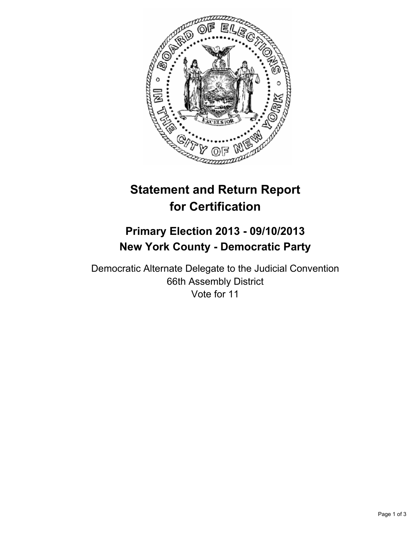

# **Statement and Return Report for Certification**

## **Primary Election 2013 - 09/10/2013 New York County - Democratic Party**

Democratic Alternate Delegate to the Judicial Convention 66th Assembly District Vote for 11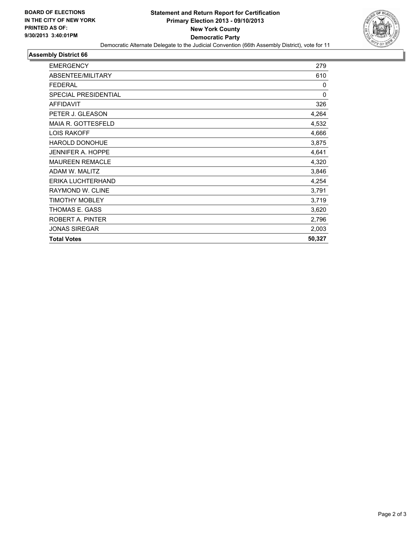

#### **Assembly District 66**

| <b>EMERGENCY</b>            | 279    |
|-----------------------------|--------|
| ABSENTEE/MILITARY           | 610    |
| <b>FEDERAL</b>              | 0      |
| <b>SPECIAL PRESIDENTIAL</b> | 0      |
| <b>AFFIDAVIT</b>            | 326    |
| PETER J. GLEASON            | 4,264  |
| <b>MAIA R. GOTTESFELD</b>   | 4,532  |
| <b>LOIS RAKOFF</b>          | 4,666  |
| <b>HAROLD DONOHUE</b>       | 3,875  |
| <b>JENNIFER A. HOPPE</b>    | 4,641  |
| <b>MAUREEN REMACLE</b>      | 4,320  |
| ADAM W. MALITZ              | 3,846  |
| ERIKA LUCHTERHAND           | 4,254  |
| RAYMOND W. CLINE            | 3,791  |
| <b>TIMOTHY MOBLEY</b>       | 3,719  |
| THOMAS E. GASS              | 3,620  |
| ROBERT A. PINTER            | 2,796  |
| <b>JONAS SIREGAR</b>        | 2,003  |
| <b>Total Votes</b>          | 50,327 |